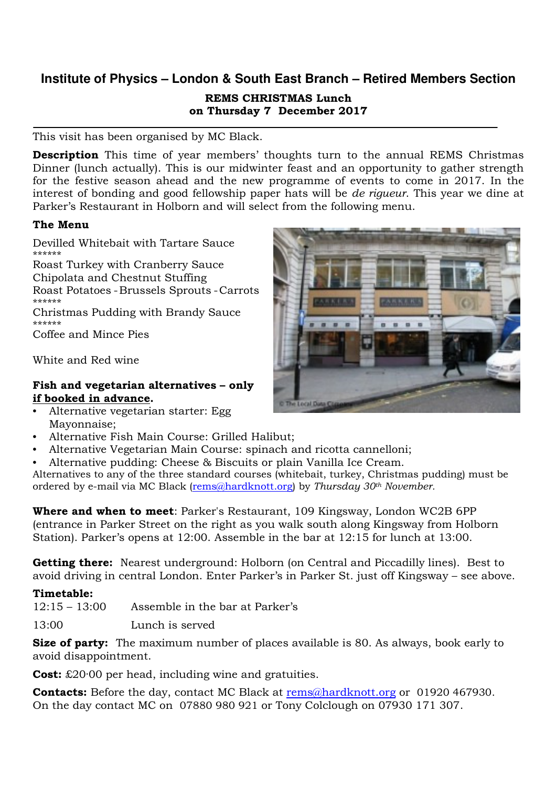## **Institute of Physics – London & South East Branch – Retired Members Section**  REMS CHRISTMAS Lunch on Thursday 7 December 2017

This visit has been organised by MC Black.

Description This time of year members' thoughts turn to the annual REMS Christmas Dinner (lunch actually). This is our midwinter feast and an opportunity to gather strength for the festive season ahead and the new programme of events to come in 2017. In the interest of bonding and good fellowship paper hats will be de rigueur. This year we dine at Parker's Restaurant in Holborn and will select from the following menu.

## The Menu

Devilled Whitebait with Tartare Sauce \*\*\*\*\*\* Roast Turkey with Cranberry Sauce Chipolata and Chestnut Stuffing

Roast Potatoes - Brussels Sprouts - Carrots \*\*\*\*\*\*

Christmas Pudding with Brandy Sauce \*\*\*\*\*\*

Coffee and Mince Pies

White and Red wine

## Fish and vegetarian alternatives – only if booked in advance.

- Alternative vegetarian starter: Egg Mayonnaise;
- Alternative Fish Main Course: Grilled Halibut;
- Alternative Vegetarian Main Course: spinach and ricotta cannelloni;
- Alternative pudding: Cheese & Biscuits or plain Vanilla Ice Cream.

Alternatives to any of the three standard courses (whitebait, turkey, Christmas pudding) must be ordered by e-mail via MC Black (rems@hardknott.org) by Thursday  $30<sup>th</sup>$  November.

**Where and when to meet**: Parker's Restaurant, 109 Kingsway, London WC2B 6PP (entrance in Parker Street on the right as you walk south along Kingsway from Holborn Station). Parker's opens at 12:00. Assemble in the bar at 12:15 for lunch at 13:00.

Getting there: Nearest underground: Holborn (on Central and Piccadilly lines). Best to avoid driving in central London. Enter Parker's in Parker St. just off Kingsway – see above.

## Timetable:

 $12:15 - 13:00$  Assemble in the bar at Parker's

13:00 Lunch is served

Size of party: The maximum number of places available is 80. As always, book early to avoid disappointment.

**Cost:** £20.00 per head, including wine and gratuities.

**Contacts:** Before the day, contact MC Black at rems@hardknott.org or 01920 467930. On the day contact MC on 07880 980 921 or Tony Colclough on 07930 171 307.